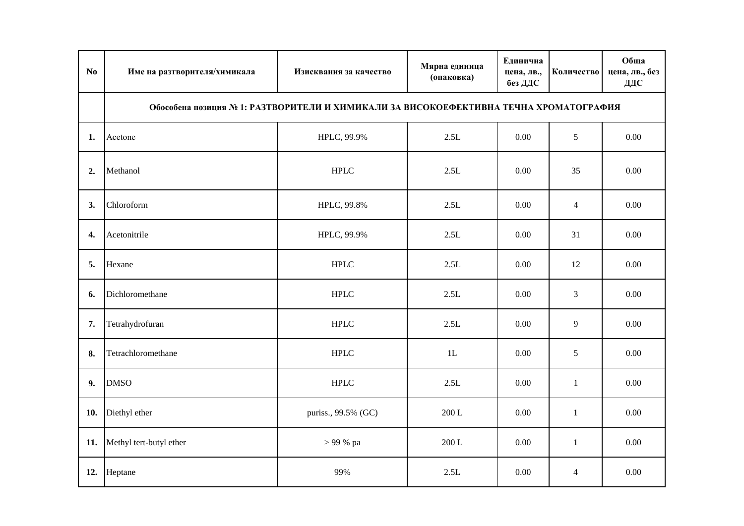| No  | Име на разтворителя/химикала                                                          | Изисквания за качество | Мярна единица<br>(опаковка) | Единична<br>цена, лв.,<br>без ДДС | Количество     | Обща<br>цена, лв., без<br>ДДС |  |
|-----|---------------------------------------------------------------------------------------|------------------------|-----------------------------|-----------------------------------|----------------|-------------------------------|--|
|     | Обособена позиция № 1: РАЗТВОРИТЕЛИ И ХИМИКАЛИ ЗА ВИСОКОЕФЕКТИВНА ТЕЧНА ХРОМАТОГРАФИЯ |                        |                             |                                   |                |                               |  |
| 1.  | Acetone                                                                               | HPLC, 99.9%            | 2.5L                        | 0.00                              | 5              | 0.00                          |  |
| 2.  | Methanol                                                                              | <b>HPLC</b>            | 2.5L                        | 0.00                              | 35             | 0.00                          |  |
| 3.  | Chloroform                                                                            | HPLC, 99.8%            | 2.5L                        | 0.00                              | $\overline{4}$ | 0.00                          |  |
| 4.  | Acetonitrile                                                                          | HPLC, 99.9%            | 2.5L                        | 0.00                              | 31             | 0.00                          |  |
| 5.  | Hexane                                                                                | <b>HPLC</b>            | 2.5L                        | 0.00                              | 12             | 0.00                          |  |
| 6.  | Dichloromethane                                                                       | <b>HPLC</b>            | 2.5L                        | 0.00                              | 3              | 0.00                          |  |
| 7.  | Tetrahydrofuran                                                                       | <b>HPLC</b>            | 2.5L                        | 0.00                              | 9              | 0.00                          |  |
| 8.  | Tetrachloromethane                                                                    | ${\rm HPLC}$           | $1\mathrm{L}$               | 0.00                              | 5              | 0.00                          |  |
| 9.  | <b>DMSO</b>                                                                           | <b>HPLC</b>            | 2.5L                        | 0.00                              | $\mathbf{1}$   | 0.00                          |  |
| 10. | Diethyl ether                                                                         | puriss., 99.5% (GC)    | 200 L                       | 0.00                              | $\mathbf{1}$   | 0.00                          |  |
| 11. | Methyl tert-butyl ether                                                               | > 99 % pa              | 200 L                       | 0.00                              | $\mathbf{1}$   | 0.00                          |  |
| 12. | Heptane                                                                               | 99%                    | 2.5L                        | 0.00                              | $\overline{4}$ | 0.00                          |  |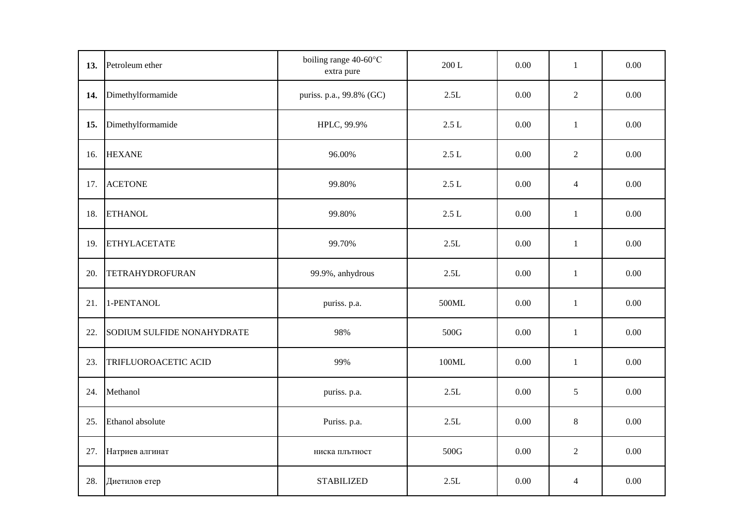| 13. | Petroleum ether            | boiling range 40-60°C<br>extra pure | $200$ L | 0.00     | $\mathbf{1}$   | 0.00     |
|-----|----------------------------|-------------------------------------|---------|----------|----------------|----------|
| 14. | Dimethylformamide          | puriss. p.a., 99.8% (GC)            | 2.5L    | 0.00     | $\overline{2}$ | $0.00\,$ |
| 15. | Dimethylformamide          | HPLC, 99.9%                         | $2.5 L$ | 0.00     | $\mathbf{1}$   | 0.00     |
| 16. | <b>HEXANE</b>              | 96.00%                              | 2.5L    | 0.00     | $\overline{2}$ | 0.00     |
| 17. | <b>ACETONE</b>             | 99.80%                              | $2.5$ L | 0.00     | $\overline{4}$ | $0.00\,$ |
| 18. | <b>ETHANOL</b>             | 99.80%                              | 2.5L    | 0.00     | $\mathbf{1}$   | 0.00     |
| 19. | <b>ETHYLACETATE</b>        | 99.70%                              | $2.5L$  | $0.00\,$ | $\mathbf{1}$   | $0.00\,$ |
| 20. | <b>TETRAHYDROFURAN</b>     | 99.9%, anhydrous                    | $2.5L$  | 0.00     | $\mathbf{1}$   | $0.00\,$ |
| 21. | 1-PENTANOL                 | puriss. p.a.                        | 500ML   | 0.00     | $\mathbf{1}$   | $0.00\,$ |
| 22. | SODIUM SULFIDE NONAHYDRATE | 98%                                 | 500G    | 0.00     | $\mathbf{1}$   | 0.00     |
| 23. | TRIFLUOROACETIC ACID       | 99%                                 | 100ML   | 0.00     | $\,1\,$        | 0.00     |
| 24. | Methanol                   | puriss. p.a.                        | 2.5L    | 0.00     | 5              | 0.00     |
| 25. | Ethanol absolute           | Puriss. p.a.                        | 2.5L    | 0.00     | 8              | 0.00     |
| 27. | Натриев алгинат            | ниска плътност                      | 500G    | $0.00\,$ | $\overline{2}$ | $0.00\,$ |
| 28. | Диетилов етер              | <b>STABILIZED</b>                   | $2.5L$  | 0.00     | $\overline{4}$ | $0.00\,$ |